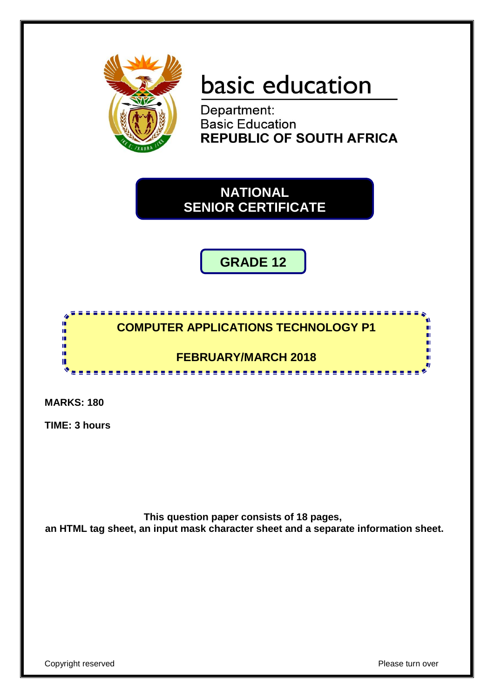

# basic education

Department: **Basic Education REPUBLIC OF SOUTH AFRICA** 

**NATIONAL SENIOR CERTIFICATE**

**GRADE 12**



**MARKS: 180**

**TIME: 3 hours**

**This question paper consists of 18 pages, an HTML tag sheet, an input mask character sheet and a separate information sheet.**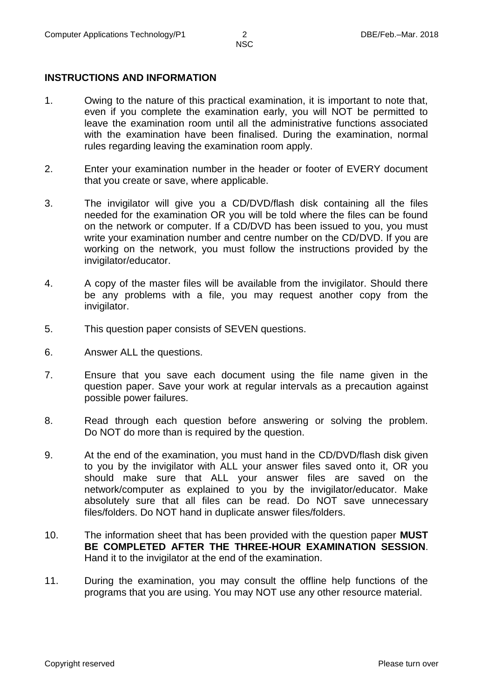#### **INSTRUCTIONS AND INFORMATION**

- 1. Owing to the nature of this practical examination, it is important to note that, even if you complete the examination early, you will NOT be permitted to leave the examination room until all the administrative functions associated with the examination have been finalised. During the examination, normal rules regarding leaving the examination room apply.
- 2. Enter your examination number in the header or footer of EVERY document that you create or save, where applicable.
- 3. The invigilator will give you a CD/DVD/flash disk containing all the files needed for the examination OR you will be told where the files can be found on the network or computer. If a CD/DVD has been issued to you, you must write your examination number and centre number on the CD/DVD. If you are working on the network, you must follow the instructions provided by the invigilator/educator.
- 4. A copy of the master files will be available from the invigilator. Should there be any problems with a file, you may request another copy from the invigilator.
- 5. This question paper consists of SEVEN questions.
- 6. Answer ALL the questions.
- 7. Ensure that you save each document using the file name given in the question paper. Save your work at regular intervals as a precaution against possible power failures.
- 8. Read through each question before answering or solving the problem. Do NOT do more than is required by the question.
- 9. At the end of the examination, you must hand in the CD/DVD/flash disk given to you by the invigilator with ALL your answer files saved onto it, OR you should make sure that ALL your answer files are saved on the network/computer as explained to you by the invigilator/educator. Make absolutely sure that all files can be read. Do NOT save unnecessary files/folders. Do NOT hand in duplicate answer files/folders.
- 10. The information sheet that has been provided with the question paper **MUST BE COMPLETED AFTER THE THREE-HOUR EXAMINATION SESSION**. Hand it to the invigilator at the end of the examination.
- 11. During the examination, you may consult the offline help functions of the programs that you are using. You may NOT use any other resource material.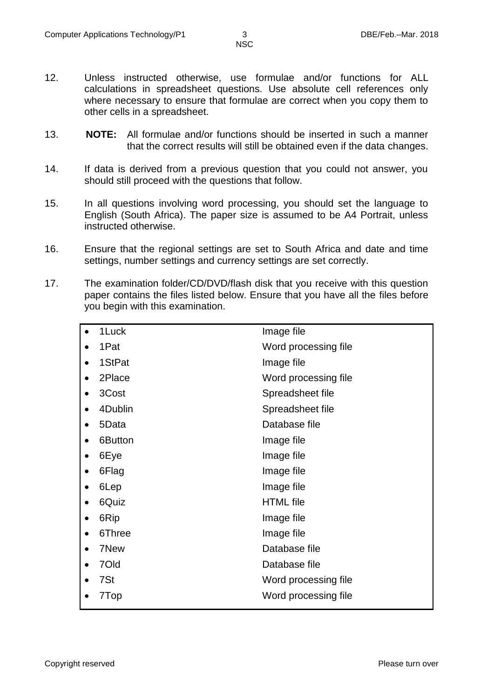- 12. Unless instructed otherwise, use formulae and/or functions for ALL calculations in spreadsheet questions. Use absolute cell references only where necessary to ensure that formulae are correct when you copy them to other cells in a spreadsheet.
- 13. **NOTE:** All formulae and/or functions should be inserted in such a manner that the correct results will still be obtained even if the data changes.
- 14. If data is derived from a previous question that you could not answer, you should still proceed with the questions that follow.
- 15. In all questions involving word processing, you should set the language to English (South Africa). The paper size is assumed to be A4 Portrait, unless instructed otherwise.
- 16. Ensure that the regional settings are set to South Africa and date and time settings, number settings and currency settings are set correctly.
- 17. The examination folder/CD/DVD/flash disk that you receive with this question paper contains the files listed below. Ensure that you have all the files before you begin with this examination.

| 1Luck   | Image file           |
|---------|----------------------|
| 1Pat    | Word processing file |
| 1StPat  | Image file           |
| 2Place  | Word processing file |
| 3Cost   | Spreadsheet file     |
| 4Dublin | Spreadsheet file     |
| 5Data   | Database file        |
| 6Button | Image file           |
| 6Eye    | Image file           |
| 6Flag   | Image file           |
| 6Lep    | Image file           |
| 6Quiz   | <b>HTML</b> file     |
| 6Rip    | Image file           |
| 6Three  | Image file           |
| 7New    | Database file        |
| 70ld    | Database file        |
| 7St     | Word processing file |
| 7Top    | Word processing file |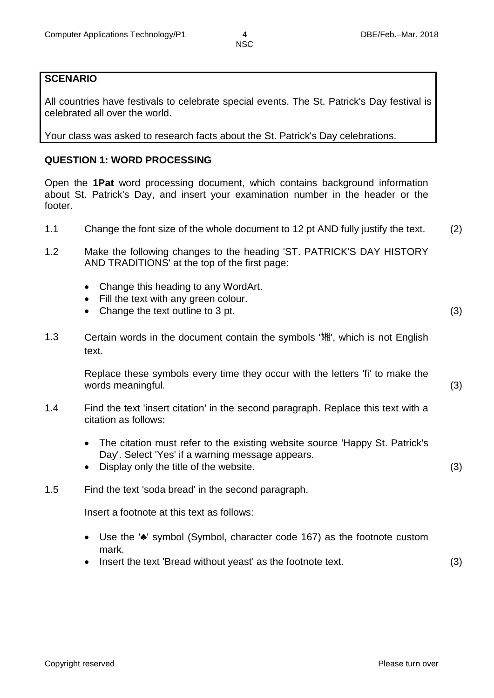#### **SCENARIO**

All countries have festivals to celebrate special events. The St. Patrick's Day festival is celebrated all over the world.

Your class was asked to research facts about the St. Patrick's Day celebrations.

#### **QUESTION 1: WORD PROCESSING**

Open the **1Pat** word processing document, which contains background information about St. Patrick's Day, and insert your examination number in the header or the footer.

- 1.1 Change the font size of the whole document to 12 pt AND fully justify the text. (2)
- 1.2 Make the following changes to the heading 'ST. PATRICK'S DAY HISTORY AND TRADITIONS' at the top of the first page:
	- Change this heading to any WordArt.
	- Fill the text with any green colour.
	- Change the text outline to 3 pt. (3)
- 1.3 Certain words in the document contain the symbols '娴', which is not English text.

Replace these symbols every time they occur with the letters 'fi' to make the words meaningful. (3)

- 1.4 Find the text 'insert citation' in the second paragraph. Replace this text with a citation as follows:
	- The citation must refer to the existing website source 'Happy St. Patrick's Day'. Select 'Yes' if a warning message appears.
	- Display only the title of the website. (3)
- 1.5 Find the text 'soda bread' in the second paragraph.

Insert a footnote at this text as follows:

- Use the '♣' symbol (Symbol, character code 167) as the footnote custom mark.
- Insert the text 'Bread without yeast' as the footnote text. (3)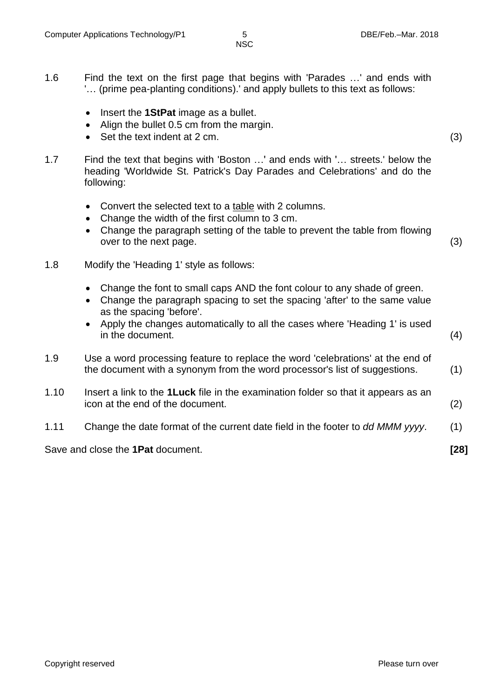- 1.6 Find the text on the first page that begins with 'Parades …' and ends with '… (prime pea-planting conditions).' and apply bullets to this text as follows:
	- Insert the **1StPat** image as a bullet.
	- Align the bullet 0.5 cm from the margin.
	- Set the text indent at 2 cm. (3)
- 1.7 Find the text that begins with 'Boston …' and ends with '… streets.' below the heading 'Worldwide St. Patrick's Day Parades and Celebrations' and do the following:
	- Convert the selected text to a table with 2 columns.
	- Change the width of the first column to 3 cm.
	- Change the paragraph setting of the table to prevent the table from flowing over to the next page. (3)

- 1.8 Modify the 'Heading 1' style as follows:
	- Change the font to small caps AND the font colour to any shade of green.
	- Change the paragraph spacing to set the spacing 'after' to the same value as the spacing 'before'.
	- Apply the changes automatically to all the cases where 'Heading 1' is used in the document. (4)
- 1.9 Use a word processing feature to replace the word 'celebrations' at the end of the document with a synonym from the word processor's list of suggestions. (1)
- 1.10 Insert a link to the **1Luck** file in the examination folder so that it appears as an icon at the end of the document. (2)
- 1.11 Change the date format of the current date field in the footer to *dd MMM yyyy*. (1)

Save and close the **1Pat** document. **[28]**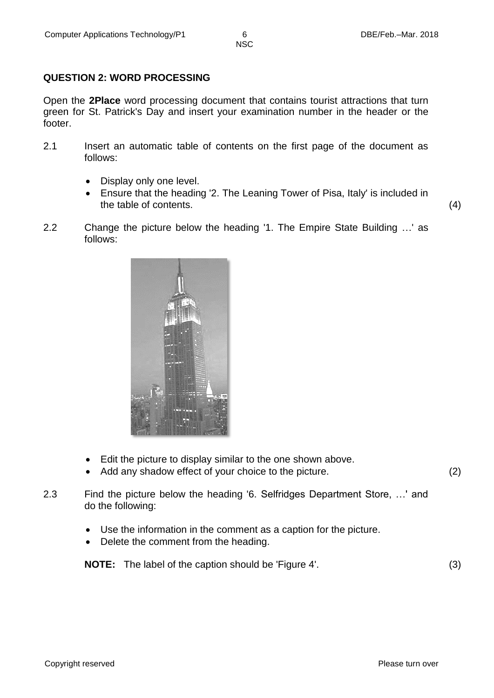## **QUESTION 2: WORD PROCESSING**

Open the **2Place** word processing document that contains tourist attractions that turn green for St. Patrick's Day and insert your examination number in the header or the footer.

- 2.1 Insert an automatic table of contents on the first page of the document as follows:
	- Display only one level.
	- Ensure that the heading '2. The Leaning Tower of Pisa, Italy' is included in the table of contents. (4)
- 2.2 Change the picture below the heading '1. The Empire State Building …' as follows:



- Edit the picture to display similar to the one shown above.
- Add any shadow effect of your choice to the picture. (2)
- 2.3 Find the picture below the heading '6. Selfridges Department Store, …' and do the following:
	- Use the information in the comment as a caption for the picture.
	- Delete the comment from the heading.

**NOTE:** The label of the caption should be 'Figure 4'. (3)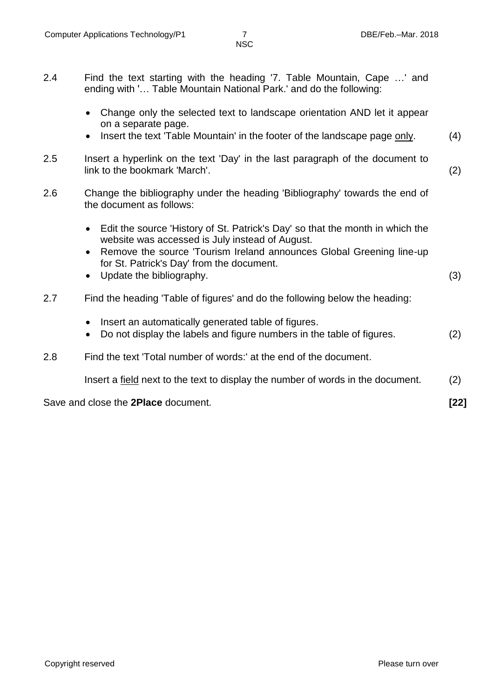- 2.4 Find the text starting with the heading '7. Table Mountain, Cape …' and ending with '… Table Mountain National Park.' and do the following:
	- Change only the selected text to landscape orientation AND let it appear on a separate page.
	- Insert the text 'Table Mountain' in the footer of the landscape page only. (4)
- 2.5 Insert a hyperlink on the text 'Day' in the last paragraph of the document to link to the bookmark 'March'. (2)
- 2.6 Change the bibliography under the heading 'Bibliography' towards the end of the document as follows:
	- Edit the source 'History of St. Patrick's Day' so that the month in which the website was accessed is July instead of August.
	- Remove the source 'Tourism Ireland announces Global Greening line-up for St. Patrick's Day' from the document.
	- Update the bibliography. (3)
- 2.7 Find the heading 'Table of figures' and do the following below the heading:
	- Insert an automatically generated table of figures.
	- Do not display the labels and figure numbers in the table of figures. (2)
- 2.8 Find the text 'Total number of words:' at the end of the document.

Insert a field next to the text to display the number of words in the document. (2)

Save and close the **2Place** document. **[22]**

Copyright reserved **Please turn over the Copyright reserved** Please turn over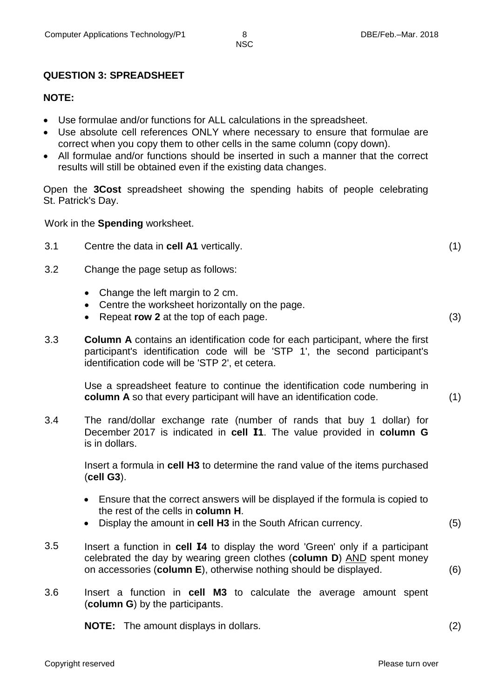## **QUESTION 3: SPREADSHEET**

#### **NOTE:**

- Use formulae and/or functions for ALL calculations in the spreadsheet.
- Use absolute cell references ONLY where necessary to ensure that formulae are correct when you copy them to other cells in the same column (copy down).
- All formulae and/or functions should be inserted in such a manner that the correct results will still be obtained even if the existing data changes.

Open the **3Cost** spreadsheet showing the spending habits of people celebrating St. Patrick's Day.

Work in the **Spending** worksheet.

- 3.1 Centre the data in **cell A1** vertically. (1)
- 3.2 Change the page setup as follows:
	- Change the left margin to 2 cm.
	- Centre the worksheet horizontally on the page.
	- Repeat **row 2** at the top of each page. (3)
- 3.3 **Column A** contains an identification code for each participant, where the first participant's identification code will be 'STP 1', the second participant's identification code will be 'STP 2', et cetera.

Use a spreadsheet feature to continue the identification code numbering in **column A** so that every participant will have an identification code. (1)

3.4 The rand/dollar exchange rate (number of rands that buy 1 dollar) for December 2017 is indicated in **cell I1**. The value provided in **column G** is in dollars.

> Insert a formula in **cell H3** to determine the rand value of the items purchased (**cell G3**).

- Ensure that the correct answers will be displayed if the formula is copied to the rest of the cells in **column H**.
- Display the amount in **cell H3** in the South African currency. (5)
- 3.5 Insert a function in **cell I4** to display the word 'Green' only if a participant celebrated the day by wearing green clothes (**column D**) AND spent money on accessories (**column E**), otherwise nothing should be displayed. (6)
- 3.6 Insert a function in **cell M3** to calculate the average amount spent (**column G**) by the participants.

**NOTE:** The amount displays in dollars. (2)

Copyright reserved **Please turn over the Copyright reserved** Please turn over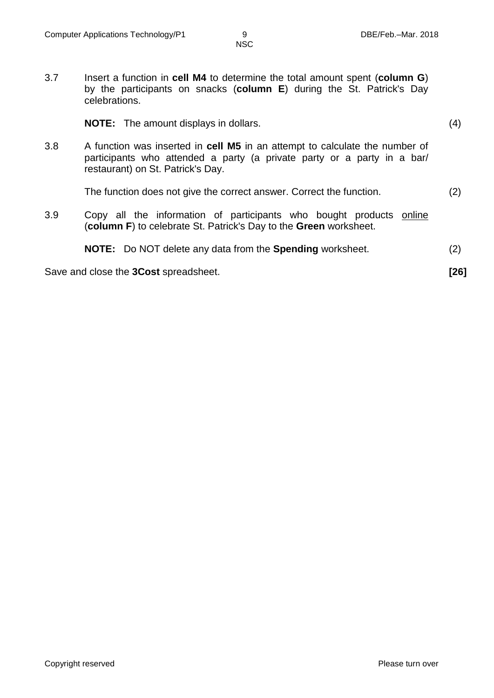3.7 Insert a function in **cell M4** to determine the total amount spent (**column G**) by the participants on snacks (**column E**) during the St. Patrick's Day celebrations.

|     | <b>NOTE:</b> The amount displays in dollars.                                                                                                                                                | (4)  |
|-----|---------------------------------------------------------------------------------------------------------------------------------------------------------------------------------------------|------|
| 3.8 | A function was inserted in cell M5 in an attempt to calculate the number of<br>participants who attended a party (a private party or a party in a bar/<br>restaurant) on St. Patrick's Day. |      |
|     | The function does not give the correct answer. Correct the function.                                                                                                                        | (2)  |
| 3.9 | Copy all the information of participants who bought products online<br>(column F) to celebrate St. Patrick's Day to the Green worksheet.                                                    |      |
|     | <b>NOTE:</b> Do NOT delete any data from the <b>Spending</b> worksheet.                                                                                                                     | (2)  |
|     | Save and close the 3Cost spreadsheet.                                                                                                                                                       | [26] |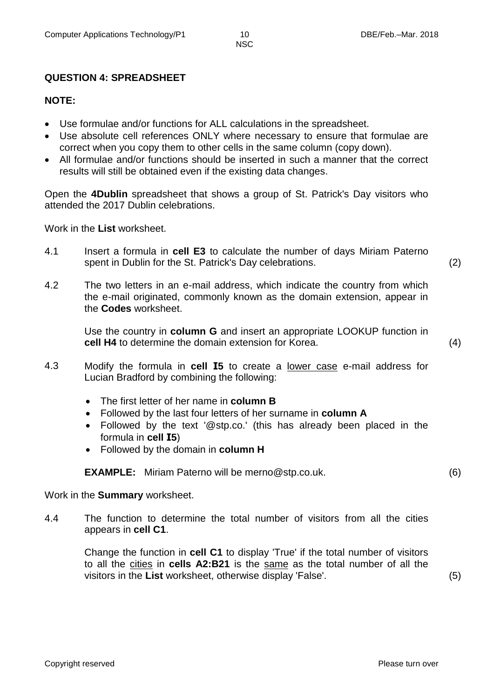# **QUESTION 4: SPREADSHEET**

#### **NOTE:**

- Use formulae and/or functions for ALL calculations in the spreadsheet.
- Use absolute cell references ONLY where necessary to ensure that formulae are correct when you copy them to other cells in the same column (copy down).
- All formulae and/or functions should be inserted in such a manner that the correct results will still be obtained even if the existing data changes.

Open the **4Dublin** spreadsheet that shows a group of St. Patrick's Day visitors who attended the 2017 Dublin celebrations.

Work in the **List** worksheet.

- 4.1 Insert a formula in **cell E3** to calculate the number of days Miriam Paterno spent in Dublin for the St. Patrick's Day celebrations. (2)
- 4.2 The two letters in an e-mail address, which indicate the country from which the e-mail originated, commonly known as the domain extension, appear in the **Codes** worksheet.

Use the country in **column G** and insert an appropriate LOOKUP function in **cell H4** to determine the domain extension for Korea. (4)

- 4.3 Modify the formula in **cell I5** to create a lower case e-mail address for Lucian Bradford by combining the following:
	- The first letter of her name in **column B**
	- Followed by the last four letters of her surname in **column A**
	- Followed by the text '@stp.co.' (this has already been placed in the formula in **cell I5**)
	- Followed by the domain in **column H**

**EXAMPLE:** Miriam Paterno will be merno@stp.co.uk. (6)

Work in the **Summary** worksheet.

4.4 The function to determine the total number of visitors from all the cities appears in **cell C1**.

> Change the function in **cell C1** to display 'True' if the total number of visitors to all the cities in **cells A2:B21** is the same as the total number of all the visitors in the **List** worksheet, otherwise display 'False'. (5)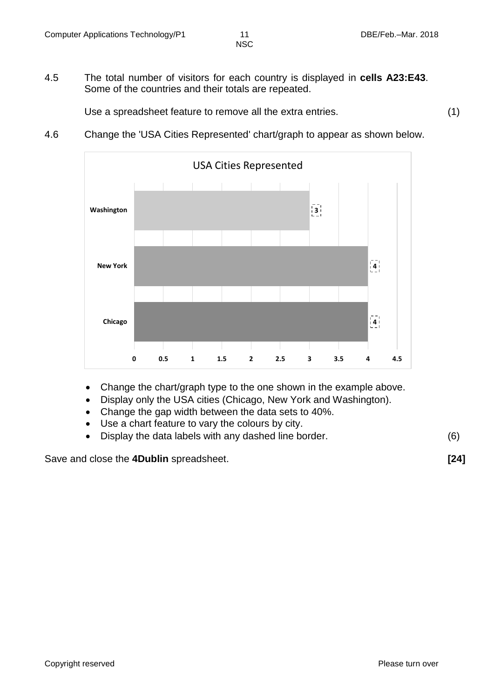4.5 The total number of visitors for each country is displayed in **cells A23:E43**. Some of the countries and their totals are repeated.

Use a spreadsheet feature to remove all the extra entries. (1)

4.6 Change the 'USA Cities Represented' chart/graph to appear as shown below.



- Change the chart/graph type to the one shown in the example above.
- Display only the USA cities (Chicago, New York and Washington).
- Change the gap width between the data sets to 40%.
- Use a chart feature to vary the colours by city.
- Display the data labels with any dashed line border. (6)

Save and close the **4Dublin** spreadsheet. **[24]**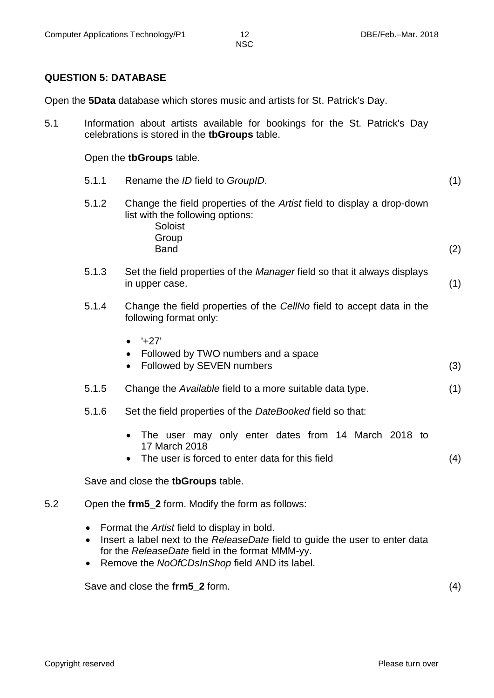#### **QUESTION 5: DATABASE**

Open the **5Data** database which stores music and artists for St. Patrick's Day.

5.1 Information about artists available for bookings for the St. Patrick's Day celebrations is stored in the **tbGroups** table.

Open the **tbGroups** table.

- 5.1.1 Rename the *ID* field to *GroupID*. (1) 5.1.2 Change the field properties of the *Artist* field to display a drop-down
	- list with the following options: Soloist Group Band (2)
- 5.1.3 Set the field properties of the *Manager* field so that it always displays in upper case. (1)
- 5.1.4 Change the field properties of the *CellNo* field to accept data in the following format only:
	- $427'$
	- Followed by TWO numbers and a space
	- Followed by SEVEN numbers (3)
- 5.1.5 Change the *Available* field to a more suitable data type. (1)
- 5.1.6 Set the field properties of the *DateBooked* field so that:
	- The user may only enter dates from 14 March 2018 to 17 March 2018
	- The user is forced to enter data for this field (4)

Save and close the **tbGroups** table.

- 5.2 Open the **frm5\_2** form. Modify the form as follows:
	- Format the *Artist* field to display in bold.
	- Insert a label next to the *ReleaseDate* field to guide the user to enter data for the *ReleaseDate* field in the format MMM-yy.
	- Remove the *NoOfCDsInShop* field AND its label.

Save and close the **frm5\_2** form. (4)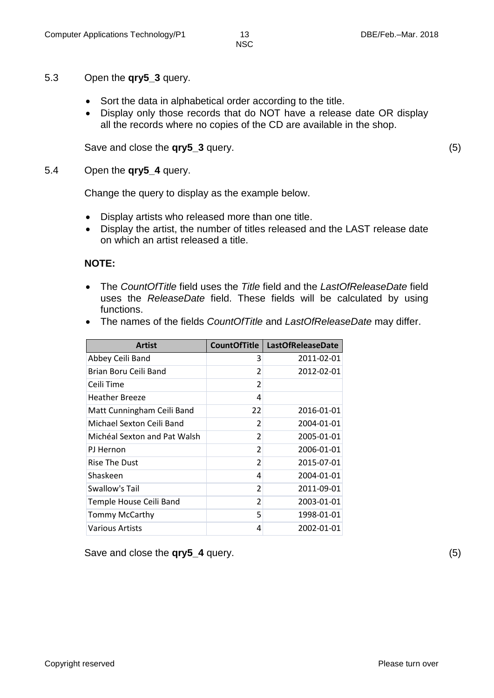#### 5.3 Open the **qry5\_3** query.

- Sort the data in alphabetical order according to the title.
- Display only those records that do NOT have a release date OR display all the records where no copies of the CD are available in the shop.

Save and close the **qry5\_3** query. (5)

#### 5.4 Open the **qry5\_4** query.

Change the query to display as the example below.

- Display artists who released more than one title.
- Display the artist, the number of titles released and the LAST release date on which an artist released a title.

#### **NOTE:**

 The *CountOfTitle* field uses the *Title* field and the *LastOfReleaseDate* field uses the *ReleaseDate* field. These fields will be calculated by using functions.

| <b>Artist</b>                | <b>CountOfTitle</b> | <b>LastOfReleaseDate</b> |
|------------------------------|---------------------|--------------------------|
| Abbey Ceili Band             | 3                   | 2011-02-01               |
| Brian Boru Ceili Band        | 2                   | 2012-02-01               |
| Ceili Time                   | 2                   |                          |
| <b>Heather Breeze</b>        | 4                   |                          |
| Matt Cunningham Ceili Band   | 22                  | 2016-01-01               |
| Michael Sexton Ceili Band    | $\overline{2}$      | 2004-01-01               |
| Michéal Sexton and Pat Walsh | 2                   | 2005-01-01               |
| PJ Hernon                    | $\overline{2}$      | 2006-01-01               |
| Rise The Dust                | $\overline{2}$      | 2015-07-01               |
| Shaskeen                     | 4                   | 2004-01-01               |
| Swallow's Tail               | $\overline{2}$      | 2011-09-01               |
| Temple House Ceili Band      | $\overline{2}$      | 2003-01-01               |
| <b>Tommy McCarthy</b>        | 5                   | 1998-01-01               |
| Various Artists              | 4                   | 2002-01-01               |

The names of the fields *CountOfTitle* and *LastOfReleaseDate* may differ.

Save and close the **qry5\_4** query. (5)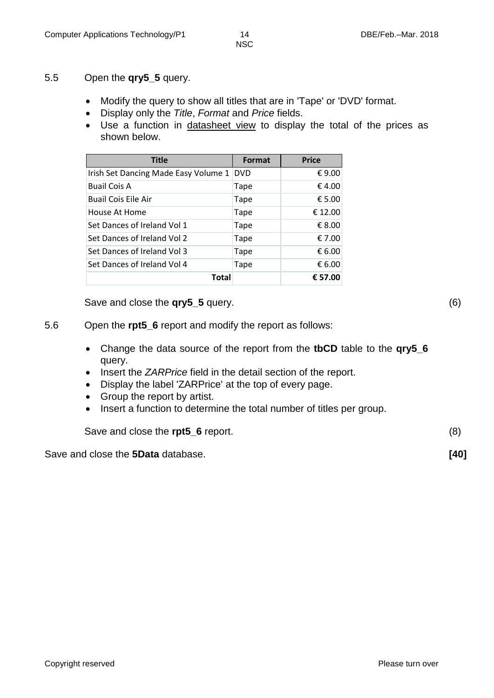- 5.5 Open the **qry5\_5** query.
	- Modify the query to show all titles that are in 'Tape' or 'DVD' format.
	- Display only the *Title*, *Format* and *Price* fields.
	- Use a function in datasheet view to display the total of the prices as shown below.

| <b>Title</b>                         | Format     | <b>Price</b> |
|--------------------------------------|------------|--------------|
| Irish Set Dancing Made Easy Volume 1 | <b>DVD</b> | € 9.00       |
| <b>Buail Cois A</b>                  | Tape       | € 4.00       |
| <b>Buail Cois Eile Air</b>           | Tape       | € 5.00       |
| House At Home                        | Tape       | € 12.00      |
| Set Dances of Ireland Vol 1          | Tape       | € 8.00       |
| Set Dances of Ireland Vol 2          | Tape       | € 7.00       |
| Set Dances of Ireland Vol 3          | Tape       | € 6.00       |
| Set Dances of Ireland Vol 4          | Tape       | € 6.00       |
| Total                                |            | € 57.00      |

Save and close the **qry5\_5** query. (6)

- 5.6 Open the **rpt5\_6** report and modify the report as follows:
	- Change the data source of the report from the **tbCD** table to the **qry5\_6** query.
	- Insert the *ZARPrice* field in the detail section of the report.
	- Display the label 'ZARPrice' at the top of every page.
	- Group the report by artist.
	- Insert a function to determine the total number of titles per group.

Save and close the **rpt5\_6** report. (8)

Save and close the **5Data** database. **[40]**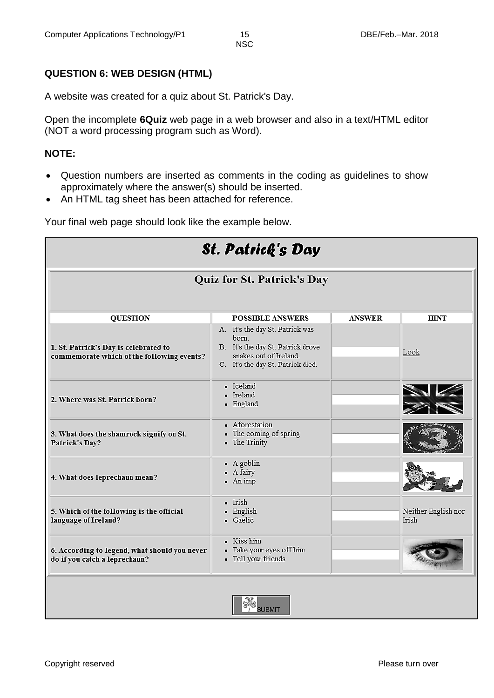# **QUESTION 6: WEB DESIGN (HTML)**

A website was created for a quiz about St. Patrick's Day.

Open the incomplete **6Quiz** web page in a web browser and also in a text/HTML editor (NOT a word processing program such as Word).

## **NOTE:**

- Question numbers are inserted as comments in the coding as guidelines to show approximately where the answer(s) should be inserted.
- An HTML tag sheet has been attached for reference.

Your final web page should look like the example below.

| <b>St. Patrick's Day</b>                                                            |                                                                                                                                              |               |                              |  |  |
|-------------------------------------------------------------------------------------|----------------------------------------------------------------------------------------------------------------------------------------------|---------------|------------------------------|--|--|
| <b>Quiz for St. Patrick's Day</b>                                                   |                                                                                                                                              |               |                              |  |  |
| <b>QUESTION</b>                                                                     | <b>POSSIBLE ANSWERS</b>                                                                                                                      | <b>ANSWER</b> | <b>HINT</b>                  |  |  |
| 1. St. Patrick's Day is celebrated to<br>commemorate which of the following events? | A. It's the day St. Patrick was<br>born.<br>B. It's the day St. Patrick drove<br>snakes out of Ireland.<br>C. It's the day St. Patrick died. |               | Look                         |  |  |
| 2. Where was St. Patrick born?                                                      | • Iceland<br>• Ireland<br>• England                                                                                                          |               |                              |  |  |
| 3. What does the shamrock signify on St.<br>Patrick's Day?                          | • Aforestation<br>• The coming of spring<br>• The Trinity                                                                                    |               |                              |  |  |
| 4. What does leprechaun mean?                                                       | $\bullet$ A goblin<br>• A fairy<br>$-$ An imp                                                                                                |               |                              |  |  |
| 5. Which of the following is the official<br>language of Ireland?                   | $\bullet$ Irish<br>• English<br>• Gaelic                                                                                                     |               | Neither English nor<br>Irish |  |  |
| 6. According to legend, what should you never<br>do if you catch a leprechaun?      | • Kiss him<br>• Take your eyes off him<br>• Tell your friends                                                                                |               |                              |  |  |

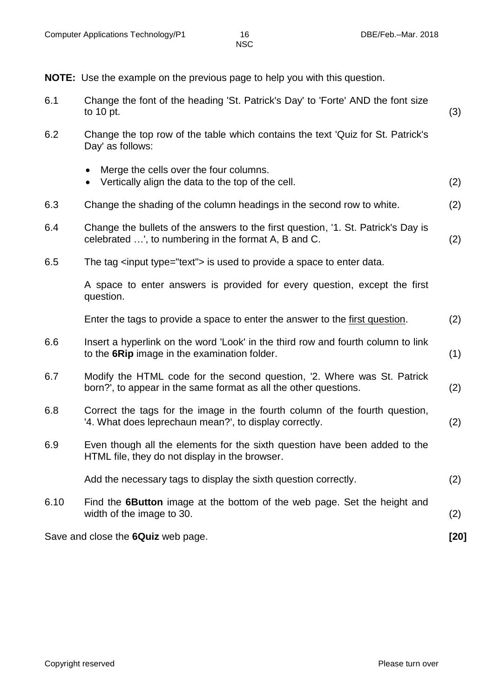**NOTE:** Use the example on the previous page to help you with this question.

- 6.1 Change the font of the heading 'St. Patrick's Day' to 'Forte' AND the font size to 10 pt.  $(3)$ 6.2 Change the top row of the table which contains the text 'Quiz for St. Patrick's Day' as follows: Merge the cells over the four columns. Vertically align the data to the top of the cell. (2) 6.3 Change the shading of the column headings in the second row to white. (2)
- 6.4 Change the bullets of the answers to the first question, '1. St. Patrick's Day is celebrated …', to numbering in the format A, B and C. (2)
- 6.5 The tag <input type="text"> is used to provide a space to enter data.

A space to enter answers is provided for every question, except the first question.

Enter the tags to provide a space to enter the answer to the first question. (2)

- 6.6 Insert a hyperlink on the word 'Look' in the third row and fourth column to link to the **6Rip** image in the examination folder. (1)
- 6.7 Modify the HTML code for the second question, '2. Where was St. Patrick born?', to appear in the same format as all the other questions. (2)
- 6.8 Correct the tags for the image in the fourth column of the fourth question, '4. What does leprechaun mean?', to display correctly. (2)
- 6.9 Even though all the elements for the sixth question have been added to the HTML file, they do not display in the browser.

Add the necessary tags to display the sixth question correctly. (2)

6.10 Find the **6Button** image at the bottom of the web page. Set the height and width of the image to 30. (2) (2)

Save and close the **6Quiz** web page. **[20]**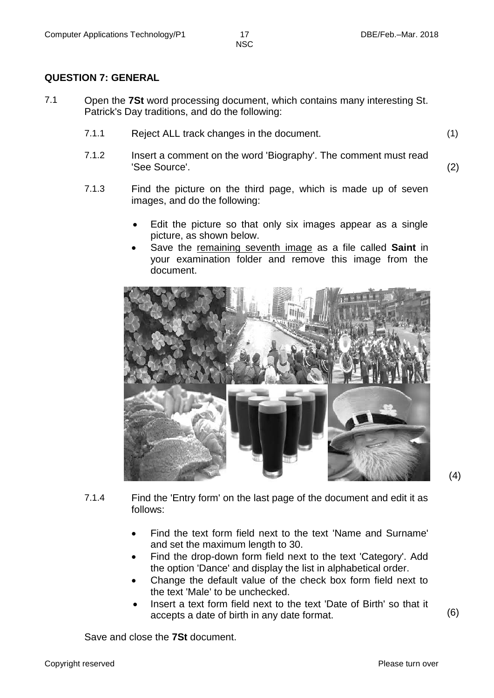#### **QUESTION 7: GENERAL**

- 7.1 Open the **7St** word processing document, which contains many interesting St. Patrick's Day traditions, and do the following:
	- 7.1.1 Reject ALL track changes in the document. (1)
	- 7.1.2 Insert a comment on the word 'Biography'. The comment must read 'See Source'. (2)
	- 7.1.3 Find the picture on the third page, which is made up of seven images, and do the following:
		- Edit the picture so that only six images appear as a single picture, as shown below.
		- Save the remaining seventh image as a file called **Saint** in your examination folder and remove this image from the document.



(4)

- 7.1.4 Find the 'Entry form' on the last page of the document and edit it as follows:
	- Find the text form field next to the text 'Name and Surname' and set the maximum length to 30.
	- Find the drop-down form field next to the text 'Category'. Add the option 'Dance' and display the list in alphabetical order.
	- Change the default value of the check box form field next to the text 'Male' to be unchecked.
	- Insert a text form field next to the text 'Date of Birth' so that it accepts a date of birth in any date format. (6)

Save and close the **7St** document.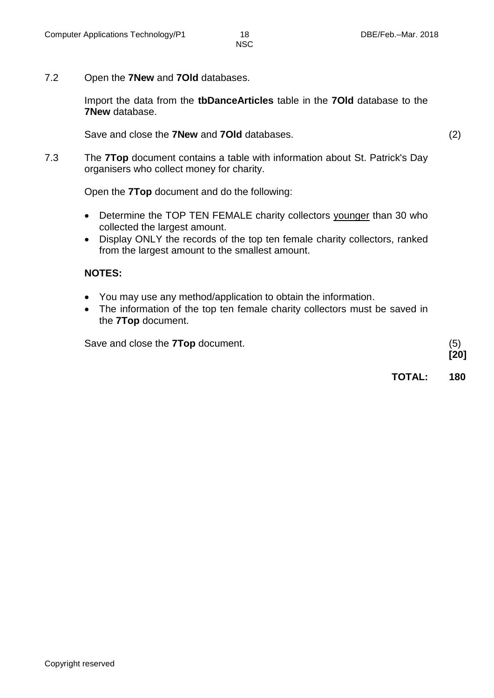7.2 Open the **7New** and **7Old** databases.

Import the data from the **tbDanceArticles** table in the **7Old** database to the **7New** database.

Save and close the **7New** and **7Old** databases. (2)

7.3 The **7Top** document contains a table with information about St. Patrick's Day organisers who collect money for charity.

Open the **7Top** document and do the following:

- Determine the TOP TEN FEMALE charity collectors younger than 30 who collected the largest amount.
- Display ONLY the records of the top ten female charity collectors, ranked from the largest amount to the smallest amount.

#### **NOTES:**

- You may use any method/application to obtain the information.
- The information of the top ten female charity collectors must be saved in the **7Top** document.

Save and close the **7Top** document. (5)

**TOTAL: 180**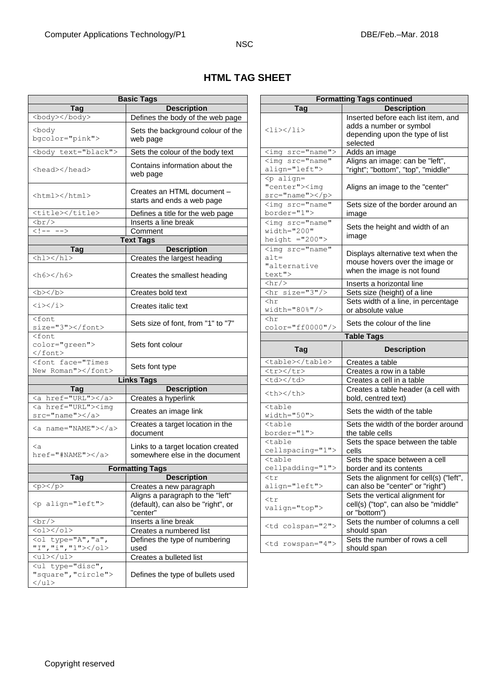|  | <b>HTML TAG SHEET</b> |
|--|-----------------------|
|--|-----------------------|

|                                                                                                                                                                                                      | <b>Basic Tags</b>                  | <b>Formatting Tags continued</b>                                             |                                                                                              |                                |                                   |  |
|------------------------------------------------------------------------------------------------------------------------------------------------------------------------------------------------------|------------------------------------|------------------------------------------------------------------------------|----------------------------------------------------------------------------------------------|--------------------------------|-----------------------------------|--|
| Tag                                                                                                                                                                                                  | <b>Description</b>                 | <b>Tag</b>                                                                   | <b>Description</b>                                                                           |                                |                                   |  |
| <body></body>                                                                                                                                                                                        | Defines the body of the web page   |                                                                              | Inserted before each list item, and                                                          |                                |                                   |  |
|                                                                                                                                                                                                      |                                    |                                                                              | adds a number or symbol                                                                      |                                |                                   |  |
| <body<br>bgcolor="pink"&gt;</body<br>                                                                                                                                                                | Sets the background colour of the  | <li></li>                                                                    | depending upon the type of list                                                              |                                |                                   |  |
|                                                                                                                                                                                                      | web page                           |                                                                              | selected                                                                                     |                                |                                   |  |
| <body text="black"></body>                                                                                                                                                                           | Sets the colour of the body text   | <img src="name"/>                                                            | Adds an image                                                                                |                                |                                   |  |
|                                                                                                                                                                                                      | Contains information about the     | <imq <="" src="name" th=""><th>Aligns an image: can be "left",</th></imq>    | Aligns an image: can be "left",                                                              |                                |                                   |  |
| <head></head>                                                                                                                                                                                        |                                    | align="left">                                                                | "right"; "bottom", "top", "middle"                                                           |                                |                                   |  |
|                                                                                                                                                                                                      | web page                           | <p align="&lt;/th"><td></td></p>                                             |                                                                                              |                                |                                   |  |
|                                                                                                                                                                                                      | Creates an HTML document -         | "center"> <imq< th=""><td>Aligns an image to the "center"</td></imq<>        | Aligns an image to the "center"                                                              |                                |                                   |  |
| <html></html>                                                                                                                                                                                        | starts and ends a web page         | $src="name">>/p>$                                                            |                                                                                              |                                |                                   |  |
|                                                                                                                                                                                                      |                                    | <imq <="" src="name" th=""><td>Sets size of the border around an</td></imq>  | Sets size of the border around an                                                            |                                |                                   |  |
| <title></title>                                                                                                                                                                                      | Defines a title for the web page   | border="1">                                                                  | image                                                                                        |                                |                                   |  |
| br/                                                                                                                                                                                                  | Inserts a line break               | <img <="" src="name" th=""/> <th>Sets the height and width of an</th>        | Sets the height and width of an                                                              |                                |                                   |  |
| $\langle$ !-- -->                                                                                                                                                                                    | Comment                            | width="200"                                                                  | image                                                                                        |                                |                                   |  |
|                                                                                                                                                                                                      | <b>Text Tags</b>                   | height $=$ "200">                                                            |                                                                                              |                                |                                   |  |
| <b>Tag</b>                                                                                                                                                                                           | <b>Description</b>                 | <imq <="" src="name" th=""><th>Displays alternative text when the</th></imq> | Displays alternative text when the                                                           |                                |                                   |  |
| $\hbox{{\smallthl><}}/\hbox{{\small h1>}}$                                                                                                                                                           | Creates the largest heading        | $alt =$                                                                      | mouse hovers over the image or                                                               |                                |                                   |  |
|                                                                                                                                                                                                      |                                    | "alternative                                                                 | when the image is not found                                                                  |                                |                                   |  |
| <h6></h6>                                                                                                                                                                                            | Creates the smallest heading       | text">                                                                       |                                                                                              |                                |                                   |  |
|                                                                                                                                                                                                      |                                    | $\frac{h}{2}$                                                                | Inserts a horizontal line                                                                    |                                |                                   |  |
| $>/b>$                                                                                                                                                                                               | Creates bold text                  | $\frac{\text{chr}}{\text{size}}$ size="3"/>                                  | Sets size (height) of a line                                                                 |                                |                                   |  |
| <i></i>                                                                                                                                                                                              | Creates italic text                | $<$ hr                                                                       | Sets width of a line, in percentage                                                          |                                |                                   |  |
|                                                                                                                                                                                                      |                                    | width="80%"/>                                                                | or absolute value                                                                            |                                |                                   |  |
| <font< th=""><th>Sets size of font, from "1" to "7"</th><th>chr</th><th>Sets the colour of the line</th></font<>                                                                                     | Sets size of font, from "1" to "7" | chr                                                                          | Sets the colour of the line                                                                  |                                |                                   |  |
| size="3">                                                                                                                                                                                            |                                    | color="ff0000"/>                                                             |                                                                                              |                                |                                   |  |
| $<$ font                                                                                                                                                                                             |                                    |                                                                              | <b>Table Tags</b>                                                                            |                                |                                   |  |
|                                                                                                                                                                                                      |                                    |                                                                              |                                                                                              |                                |                                   |  |
| color="green">                                                                                                                                                                                       | Sets font colour                   |                                                                              |                                                                                              |                                |                                   |  |
| $\langle$ /font>                                                                                                                                                                                     |                                    | Tag                                                                          | <b>Description</b>                                                                           |                                |                                   |  |
| <font face="Times&lt;/th&gt;&lt;th&gt;Sets font type&lt;/th&gt;&lt;th&gt;&lt;table&gt;&lt;/table&gt;&lt;/th&gt;&lt;th&gt;Creates a table&lt;/th&gt;&lt;/tr&gt;&lt;tr&gt;&lt;th&gt;New Roman"></font> |                                    | <tr></tr>                                                                    | Creates a row in a table                                                                     |                                |                                   |  |
|                                                                                                                                                                                                      |                                    |                                                                              |                                                                                              |                                |                                   |  |
|                                                                                                                                                                                                      | <b>Links Tags</b>                  | <td></td>                                                                    |                                                                                              | Creates a cell in a table      |                                   |  |
| <b>Tag</b>                                                                                                                                                                                           | <b>Description</b>                 | <th></th>                                                                    |                                                                                              |                                |                                   |  |
| <a href="URL"></a>                                                                                                                                                                                   | Creates a hyperlink                |                                                                              | bold, centred text)                                                                          |                                |                                   |  |
| <a href="URL"><img< th=""><th>Creates an image link</th><th><table< th=""><th>Sets the width of the table</th></table<></th></img<></a>                                                              | Creates an image link              | <table< th=""><th>Sets the width of the table</th></table<>                  | Sets the width of the table                                                                  |                                |                                   |  |
| $src="name">>/a>$                                                                                                                                                                                    |                                    | width="50">                                                                  |                                                                                              |                                |                                   |  |
| <a name="NAME"></a>                                                                                                                                                                                  | Creates a target location in the   | $table$                                                                      |                                                                                              |                                |                                   |  |
|                                                                                                                                                                                                      | document                           | $border="1"$                                                                 | Creates a table header (a cell with<br>Sets the width of the border aroun<br>the table cells |                                |                                   |  |
| $\langle a$                                                                                                                                                                                          | Links to a target location created | <table< th=""><td>Sets the space between the table</td></table<>             | Sets the space between the table                                                             |                                |                                   |  |
| href="#NAME">                                                                                                                                                                                        | somewhere else in the document     | cellspacing="1">                                                             | cells                                                                                        |                                |                                   |  |
|                                                                                                                                                                                                      |                                    | <table< th=""><th>Sets the space between a cell</th></table<>                | Sets the space between a cell                                                                |                                |                                   |  |
|                                                                                                                                                                                                      | <b>Formatting Tags</b>             | cellpadding="1">                                                             | border and its contents                                                                      |                                |                                   |  |
| Tag                                                                                                                                                                                                  | <b>Description</b>                 | <tr< th=""><th>Sets the alignment for cell(s) ("left"</th></tr<>             | Sets the alignment for cell(s) ("left"                                                       |                                |                                   |  |
| <p><p><p></p></p></p>                                                                                                                                                                                | Creates a new paragraph            | align="left">                                                                | can also be "center" or "right")                                                             |                                |                                   |  |
|                                                                                                                                                                                                      | Aligns a paragraph to the "left"   | $<$ tr                                                                       | Sets the vertical alignment for                                                              |                                |                                   |  |
| <p align="left"></p>                                                                                                                                                                                 | (default), can also be "right", or | valign="top">                                                                | cell(s) ("top", can also be "middle"                                                         |                                |                                   |  |
| br/                                                                                                                                                                                                  | "center"                           |                                                                              | or "bottom")                                                                                 |                                |                                   |  |
| $<$ ol> $<$ /ol>                                                                                                                                                                                     | Inserts a line break               | <td colspan="2"></td>                                                        |                                                                                              |                                | Sets the number of columns a cell |  |
|                                                                                                                                                                                                      | Creates a numbered list            |                                                                              | should span                                                                                  |                                |                                   |  |
| <ol "a",<="" ,="" th="" type="A"><td>Defines the type of numbering</td><th><td rowspan="4"></td></th><td>Sets the number of rows a cell</td></ol>                                                    | Defines the type of numbering      | <td rowspan="4"></td>                                                        |                                                                                              | Sets the number of rows a cell |                                   |  |
| "I", "i", "1"><br><ul></ul>                                                                                                                                                                          | used                               |                                                                              |                                                                                              | should span                    |                                   |  |
|                                                                                                                                                                                                      | Creates a bulleted list            |                                                                              |                                                                                              |                                |                                   |  |
| <ul ,<br="" type="disc">"square", "circle"&gt;</ul>                                                                                                                                                  | Defines the type of bullets used   |                                                                              |                                                                                              |                                |                                   |  |

| <b>Basic Tags</b>                            |                                                                                    |  | <b>Formatting Tags continued</b>                                                                                                                                                     |                                                                                                               |                                                            |                                                  |
|----------------------------------------------|------------------------------------------------------------------------------------|--|--------------------------------------------------------------------------------------------------------------------------------------------------------------------------------------|---------------------------------------------------------------------------------------------------------------|------------------------------------------------------------|--------------------------------------------------|
| <b>Tag</b>                                   | <b>Description</b>                                                                 |  | <b>Tag</b>                                                                                                                                                                           | <b>Description</b>                                                                                            |                                                            |                                                  |
| ody><br>'pink">                              | Defines the body of the web page<br>Sets the background colour of the<br>web page  |  | <li></li>                                                                                                                                                                            | Inserted before each list item, and<br>adds a number or symbol<br>depending upon the type of list<br>selected |                                                            |                                                  |
| <t="black"></t="black">                      | Sets the colour of the body text                                                   |  | <imq src="name"></imq>                                                                                                                                                               | Adds an image                                                                                                 |                                                            |                                                  |
| -nead                                        | Contains information about the<br>web page                                         |  | <imq <br="" src="name">align="left"&gt;<br/><p align="&lt;/th"><th>Aligns an image: can be "left",<br/>"right"; "bottom", "top", "middle"</th></p></imq>                             | Aligns an image: can be "left",<br>"right"; "bottom", "top", "middle"                                         |                                                            |                                                  |
| ntml>                                        | Creates an HTML document -<br>starts and ends a web page                           |  | "center"> <imq<br><math>src="name"&gt;&gt;/p&gt;</math><br/><imq <="" src="name" th=""><th>Aligns an image to the "center"<br/>Sets size of the border around an</th></imq></imq<br> | Aligns an image to the "center"<br>Sets size of the border around an                                          |                                                            |                                                  |
| /title>                                      | Defines a title for the web page                                                   |  | border="1">                                                                                                                                                                          | image                                                                                                         |                                                            |                                                  |
|                                              | Inserts a line break                                                               |  | <imq <="" src="name" th=""><th></th></imq>                                                                                                                                           |                                                                                                               |                                                            |                                                  |
|                                              | Comment                                                                            |  | width="200"                                                                                                                                                                          | Sets the height and width of an                                                                               |                                                            |                                                  |
|                                              | <b>Text Tags</b>                                                                   |  | height $=$ "200">                                                                                                                                                                    | image                                                                                                         |                                                            |                                                  |
| Tag                                          | <b>Description</b>                                                                 |  | <imq <="" src="name" th=""><th></th></imq>                                                                                                                                           |                                                                                                               |                                                            |                                                  |
|                                              | Creates the largest heading<br>Creates the smallest heading                        |  | $alt =$<br>"alternative<br>text">                                                                                                                                                    | Displays alternative text when the<br>mouse hovers over the image or<br>when the image is not found           |                                                            |                                                  |
|                                              |                                                                                    |  | $\langle hr/$                                                                                                                                                                        | Inserts a horizontal line                                                                                     |                                                            |                                                  |
|                                              | Creates bold text                                                                  |  | $\frac{\text{chr}}{\text{size}}$ size="3"/>                                                                                                                                          | Sets size (height) of a line                                                                                  |                                                            |                                                  |
|                                              | Creates italic text                                                                |  | $\text{chr}$<br>width="80%"/>                                                                                                                                                        | Sets width of a line, in percentage<br>or absolute value                                                      |                                                            |                                                  |
| >                                            | Sets size of font, from "1" to "7"                                                 |  | $<$ hr<br>color="ff0000"/>                                                                                                                                                           | Sets the colour of the line                                                                                   |                                                            |                                                  |
|                                              |                                                                                    |  |                                                                                                                                                                                      | <b>Table Tags</b>                                                                                             |                                                            |                                                  |
| reen">                                       | Sets font colour                                                                   |  | Tag                                                                                                                                                                                  | <b>Description</b>                                                                                            |                                                            |                                                  |
| ce="Times                                    | Sets font type                                                                     |  | <table></table>                                                                                                                                                                      | Creates a table                                                                                               |                                                            |                                                  |
| 1">                                          |                                                                                    |  | <tr></tr>                                                                                                                                                                            | Creates a row in a table                                                                                      |                                                            |                                                  |
|                                              |                                                                                    |  |                                                                                                                                                                                      |                                                                                                               |                                                            |                                                  |
|                                              | <b>Links Tags</b>                                                                  |  | $<$ td> $<$ /td>                                                                                                                                                                     | Creates a cell in a table                                                                                     |                                                            |                                                  |
| Tag<br>'URL">                                | <b>Description</b><br>Creates a hyperlink                                          |  | <th></th>                                                                                                                                                                            |                                                                                                               | Creates a table header (a cell with<br>bold, centred text) |                                                  |
| 'URL"> <img<br><math>e''</math>&gt;</img<br> | Creates an image link                                                              |  | <table<br>width="50"&gt;</table<br>                                                                                                                                                  | Sets the width of the table                                                                                   |                                                            |                                                  |
| 'NAME''>                                     | Creates a target location in the<br>document                                       |  | <table<br>border="1"&gt;</table<br>                                                                                                                                                  | Sets the width of the border around<br>the table cells                                                        |                                                            |                                                  |
| ME">                                         | Links to a target location created<br>somewhere else in the document               |  | <table<br>cellspacing="1"&gt;<br/><table< th=""><th>Sets the space between the table<br/>cells<br/>Sets the space between a cell</th></table<></table<br>                            | Sets the space between the table<br>cells<br>Sets the space between a cell                                    |                                                            |                                                  |
|                                              | <b>Formatting Tags</b>                                                             |  | cellpadding="1">                                                                                                                                                                     | border and its contents                                                                                       |                                                            |                                                  |
| Tag                                          | <b>Description</b>                                                                 |  | $<$ tr                                                                                                                                                                               | Sets the alignment for cell(s) ("left",                                                                       |                                                            |                                                  |
|                                              | Creates a new paragraph                                                            |  | align="left">                                                                                                                                                                        | can also be "center" or "right")                                                                              |                                                            |                                                  |
| ="left">                                     | Aligns a paragraph to the "left"<br>(default), can also be "right", or<br>"center" |  | $<$ tr<br>valign="top">                                                                                                                                                              | Sets the vertical alignment for<br>cell(s) ("top", can also be "middle"<br>or "bottom")                       |                                                            |                                                  |
|                                              | Inserts a line break<br>Creates a numbered list                                    |  | <td colspan="2"></td>                                                                                                                                                                |                                                                                                               |                                                            | Sets the number of columns a cell<br>should span |
| $=$ "A", "a",<br>'1">                        | Defines the type of numbering<br>used                                              |  | <td rowspan="4"></td>                                                                                                                                                                |                                                                                                               | Sets the number of rows a cell<br>should span              |                                                  |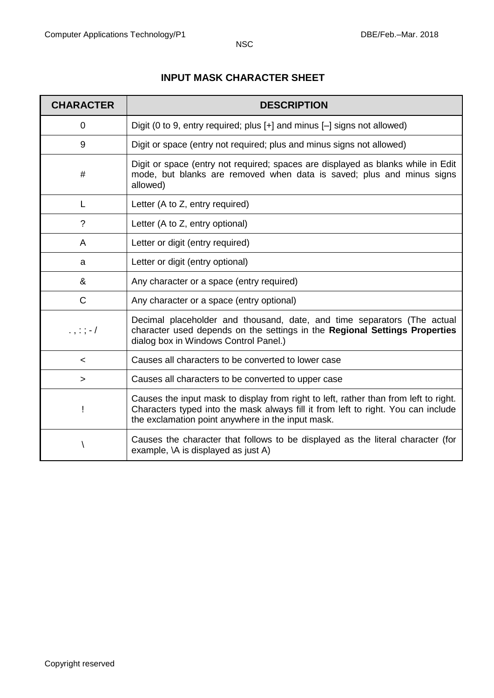# **INPUT MASK CHARACTER SHEET**

| <b>CHARACTER</b> | <b>DESCRIPTION</b>                                                                                                                                                                                                             |
|------------------|--------------------------------------------------------------------------------------------------------------------------------------------------------------------------------------------------------------------------------|
| 0                | Digit (0 to 9, entry required; plus [+] and minus [-] signs not allowed)                                                                                                                                                       |
| 9                | Digit or space (entry not required; plus and minus signs not allowed)                                                                                                                                                          |
| #                | Digit or space (entry not required; spaces are displayed as blanks while in Edit<br>mode, but blanks are removed when data is saved; plus and minus signs<br>allowed)                                                          |
| L                | Letter (A to Z, entry required)                                                                                                                                                                                                |
| $\tilde{?}$      | Letter (A to Z, entry optional)                                                                                                                                                                                                |
| A                | Letter or digit (entry required)                                                                                                                                                                                               |
| a                | Letter or digit (entry optional)                                                                                                                                                                                               |
| &                | Any character or a space (entry required)                                                                                                                                                                                      |
| $\mathsf{C}$     | Any character or a space (entry optional)                                                                                                                                                                                      |
| $\ldots$ ; ; -/  | Decimal placeholder and thousand, date, and time separators (The actual<br>character used depends on the settings in the Regional Settings Properties<br>dialog box in Windows Control Panel.)                                 |
| $\,<\,$          | Causes all characters to be converted to lower case                                                                                                                                                                            |
| $\geq$           | Causes all characters to be converted to upper case                                                                                                                                                                            |
| T                | Causes the input mask to display from right to left, rather than from left to right.<br>Characters typed into the mask always fill it from left to right. You can include<br>the exclamation point anywhere in the input mask. |
|                  | Causes the character that follows to be displayed as the literal character (for<br>example, \A is displayed as just A)                                                                                                         |